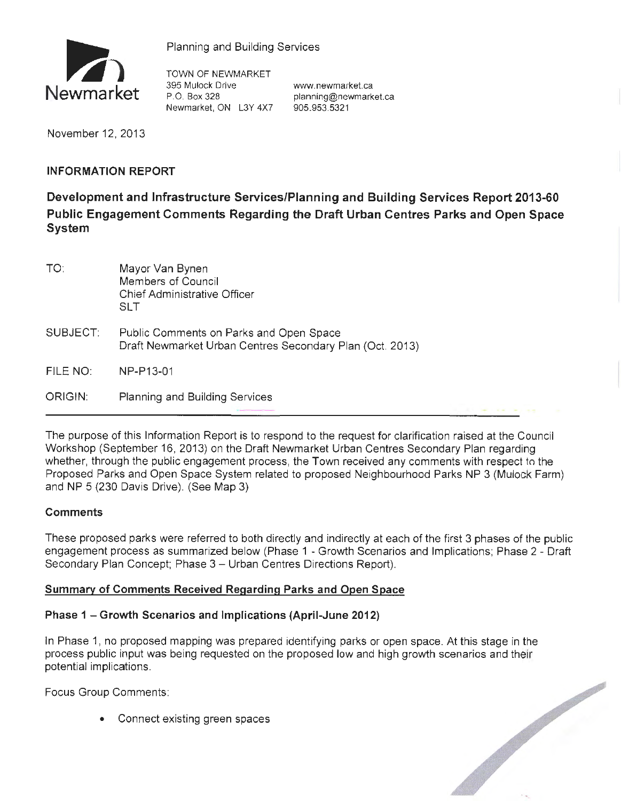

Planning and Building Services

TOWN OF NEWMARKET 395 Mulock Drive www.newmarket.ca P.O. Box 328 planning@newmarket.ca Newmarket, ON L3Y 4X7 905.953.5321

November 12, 2013

## **INFORMATION REPORT**

**Development and Infrastructure Services/Planning and Building Services Report 2013-60 Public Engagement Comments Regarding the Draft Urban Centres Parks and Open Space System** 

| TO.      | Mayor Van Bynen<br>Members of Council<br><b>Chief Administrative Officer</b><br>SI T                |
|----------|-----------------------------------------------------------------------------------------------------|
| SUBJECT: | Public Comments on Parks and Open Space<br>Draft Newmarket Urban Centres Secondary Plan (Oct. 2013) |
| FILE NO: | NP-P13-01                                                                                           |
| ORIGIN:  | <b>Planning and Building Services</b>                                                               |

The purpose of this Information Report is to respond to the request for clarification raised at the Council Workshop (September 16, 2013) on the Draft Newmarket Urban Centres Secondary Plan regarding whether, through the public engagement process, the Town received any comments with respect to the Proposed Parks and Open Space System related to proposed Neighbourhood Parks NP 3 (Mulock Farm) and NP 5 (230 Davis Drive). (See Map 3)

## **Comments**

These proposed parks were referred to both directly and indirectly at each of the first 3 phases of the public engagement process as summarized below (Phase 1 - Growth Scenarios and Implications; Phase 2 - Draft Secondary Plan Concept; Phase 3 - Urban Centres Directions Report).

## **Summary of Comments Received Regarding Parks and Open Space**

## **Phase 1 - Growth Scenarios and Implications (April-June 2012)**

In Phase 1, no proposed mapping was prepared identifying parks or open space. At this stage in the process public input was being requested on the proposed low and high growth scenarios and their<br>potential implications.<br>Focus Group Comments:<br>Connect existing green spaces<br>Connect existing green spaces potential implications.

Focus Group Comments:

• Connect existing green spaces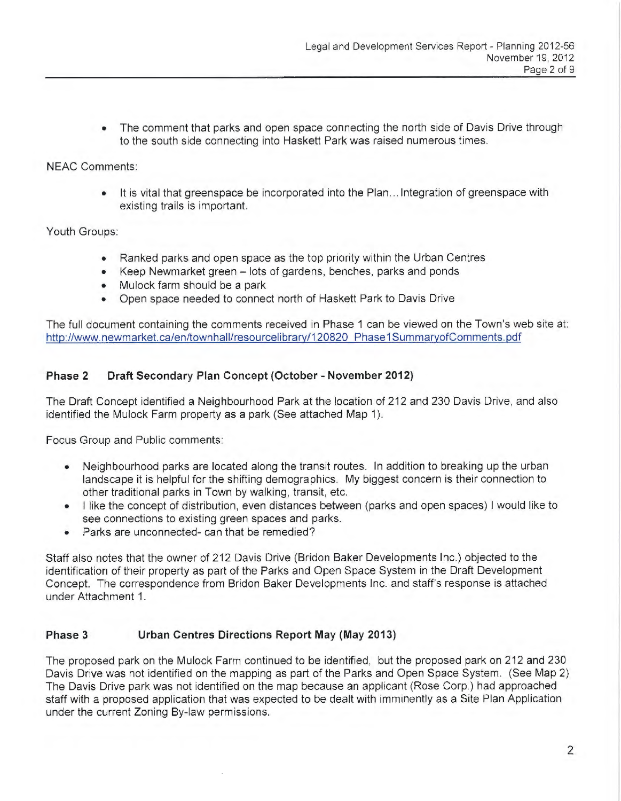• The comment that parks and open space connecting the north side of Davis Drive through to the south side connecting into Haskett Park was raised numerous times.

NEAC Comments:

• It is vital that greenspace be incorporated into the Plan ... Integration of greenspace with existing trails is important.

Youth Groups:

- Ranked parks and open space as the top priority within the Urban Centres
- Keep Newmarket green lots of gardens, benches, parks and ponds
- Mulock farm should be a park
- Open space needed to connect north of Haskett Park to Davis Drive

The full document containing the comments received in Phase 1 can be viewed on the Town's web site at: http://www.newmarket.ca/en/townhall/resourcelibrary/120820 Phase1SummaryofComments.pdf

# **Phase 2 Draft Secondary Plan Concept (October - November 2012)**

The Draft Concept identified a Neighbourhood Park at the location of 212 and 230 Davis Drive, and also identified the Mulock Farm property as a park (See attached Map 1).

Focus Group and Public comments:

- Neighbourhood parks are located along the transit routes. In addition to breaking up the urban landscape it is helpful for the shifting demographics. My biggest concern is their connection to other traditional parks in Town by walking, transit, etc.
- I like the concept of distribution, even distances between (parks and open spaces) I would like to see connections to existing green spaces and parks.
- Parks are unconnected- can that be remedied?

Staff also notes that the owner of 212 Davis Drive (Bridon Baker Developments Inc.) objected to the identification of their property as part of the Parks and Open Space System in the Draft Development Concept. The correspondence from Bridon Baker Developments Inc. and staff's response is attached under Attachment 1.

# **Phase 3 Urban Centres Directions Report May (May 2013)**

The proposed park on the Mulock Farm continued to be identified, but the proposed park on 212 and 230 Davis Drive was not identified on the mapping as part of the Parks and Open Space System. (See Map 2) The Davis Drive park was not identified on the map because an applicant (Rose Corp.) had approached staff with a proposed application that was expected to be dealt with imminently as a Site Plan Application under the current Zoning By-law permissions.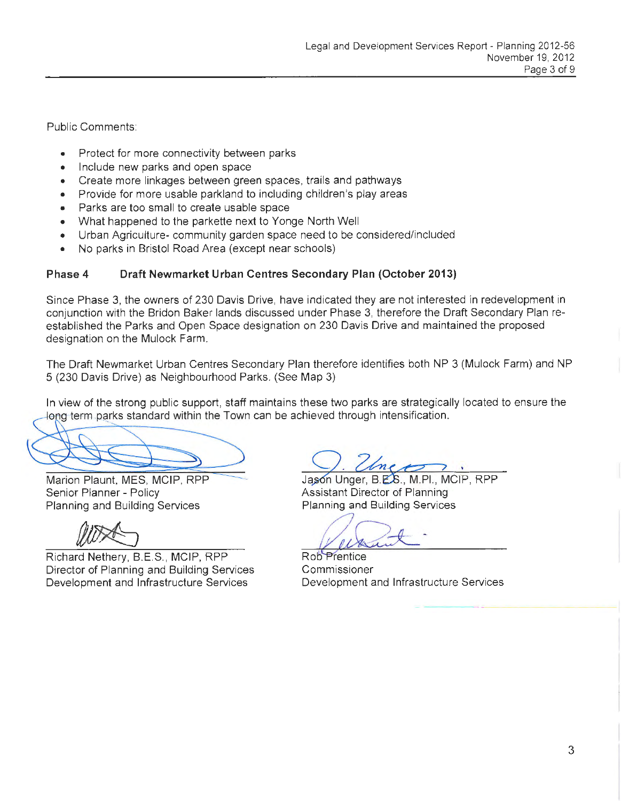Public Comments:

- Protect for more connectivity between parks
- Include new parks and open space
- Create more linkages between green spaces, trails and pathways
- Provide for more usable parkland to including children's play areas
- Parks are too small to create usable space
- What happened to the parkette next to Yonge North Well
- Urban Agriculture- community garden space need to be considered/included
- No parks in Bristol Road Area (except near schools)

## **Phase 4 Draft Newmarket Urban Centres Secondary Plan (October 2013)**

Since Phase 3, the owners of 230 Davis Drive, have indicated they are not interested in redevelopment in conjunction with the Bridon Baker lands discussed under Phase 3, therefore the Draft Secondary Plan reestablished the Parks and Open Space designation on 230 Davis Drive and maintained the proposed designation on the Mulock Farm.

The Draft Newmarket Urban Centres Secondary Plan therefore identifies both NP 3 (Mulock Farm) and NP 5 (230 Davis Drive) as Neighbourhood Parks. (See Map 3)

In view of the strong public support, staff maintains these two parks are strategically located to ensure the long term parks standard within the Town can be achieved through intensification.

Senior Planner - Policy **Assistant Director of Planning** Planning and Building Services Planning and Building Services

Richard Nethery, B.E.S., MCIP, RPP Rob Prentice Director of Planning and Building Services Development and Infrastructure Services

Marion Plaunt, MES, MCIP, RPP Jason Unger, B.E.S., M.PI., MCIP, RPP

Commissioner Development and Infrastructure Services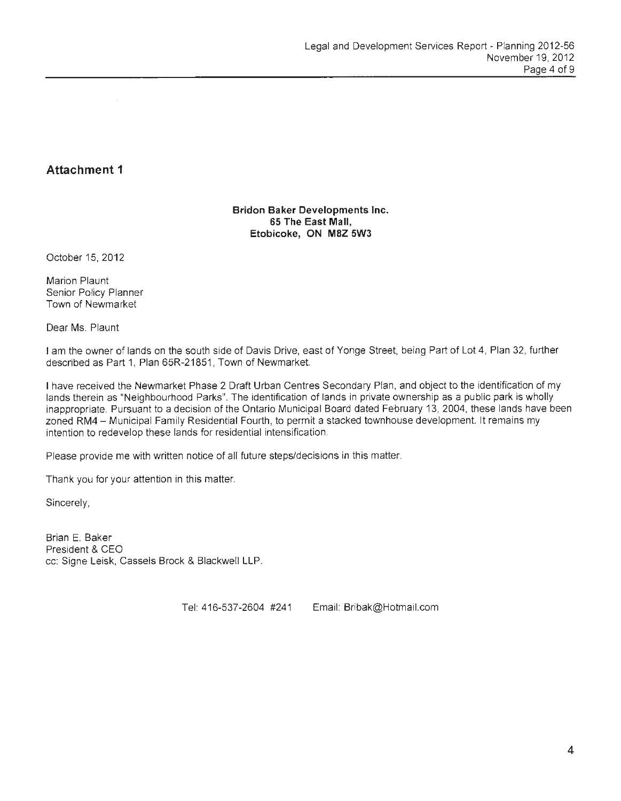# **Attachment 1**

#### **Bridon Baker Developments Inc. 65 The East Mall, Etobicoke, ON M8Z 5W3**

October 15, 2012

Marion Plaunt Senior Policy Planner Town of Newmarket

Dear Ms. Plaunt

I am the owner of lands on the south side of Davis Drive, east of Yonge Street, being Part of Lot 4, Plan 32, further described as Part 1, Plan 65R-21851, Town of Newmarket.

I have received the Newmarket Phase 2 Draft Urban Centres Secondary Plan, and object to the identification of my lands therein as "Neighbourhood Parks". The identification of lands in private ownership as a public park is wholly inappropriate. Pursuant to a decision of the Ontario Municipal Board dated February 13, 2004, these lands have been zoned RM4 - Municipal Family Residential Fourth, to permit a stacked townhouse development. It remains my intention to redevelop these lands for residential intensification.

Please provide me with written notice of all future steps/decisions in this matter.

Thank you for your attention in this matter.

Sincerely,

Brian E. Baker President & CEO cc: Signe Leisk, Cassels Brock & Blackwell LLP.

Tel: 416-537-2604 #241 Email: Bribak@Hotmail. com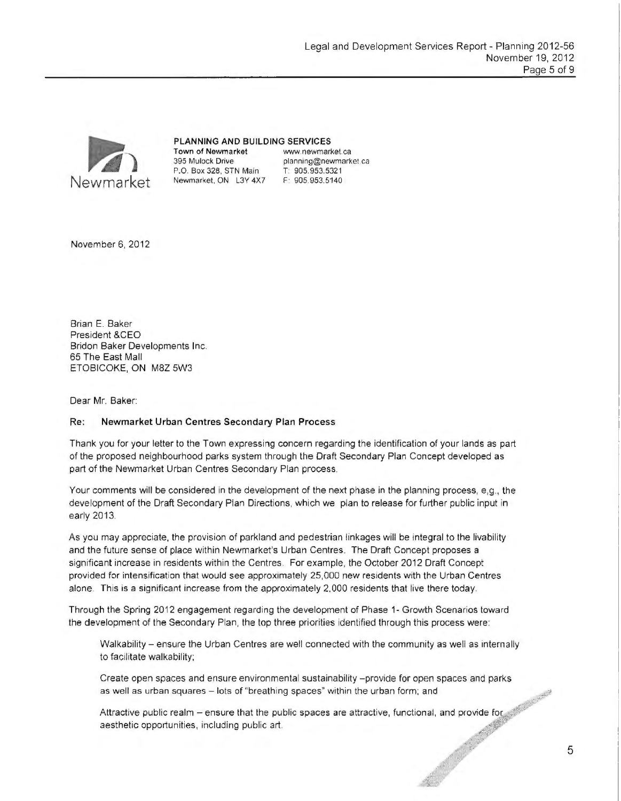

#### PLANNING AND BUILDING SERVICES

395 Mulock Drive planning@newmarket.ca P.O. Box 328, STN Main T: 905.953.5321 Newmarket. ON L3Y 4X7 F: 905.953.5140

Town of Newmarket www.newmarket.ca

November 6, 2012

Brian E. Baker President &CEO Briden Baker Developments Inc. 65 The East Mall ETOBICOKE, ON M8Z 5W3

Dear Mr. Baker:

#### Re: Newmarket Urban Centres Secondary Plan Process

Thank you for your letter to the Town expressing concern regarding the identification of your lands as part of the proposed neighbourhood parks system through the Draft Secondary Plan Concept developed as part of the Newmarket Urban Centres Secondary Plan process.

Your comments will be considered in the development of the next phase in the planning process, e,g., the development of the Draft Secondary Plan Directions, which we plan to release for further public input in early 2013.

As you may appreciate, the provision of parkland and pedestrian linkages will be integral to the livability and the future sense of place within Newmarket's Urban Centres. The Draft Concept proposes a significant increase in residents within the Centres. For example, the October 2012 Draft Concept provided for intensification that would see approximately 25,000 new residents with the Urban Centres alone. This is a significant increase from the approximately 2,000 residents that live there today.

Through the Spring 2012 engagement regarding the development of Phase 1- Growth Scenarios toward the development of the Secondary Plan, the top three priorities identified through this process were:

Walkability - ensure the Urban Centres are well connected with the community as well as internally to facilitate walkability;

Create open spaces and ensure environmental sustainability - provide for open spaces and parks as well as urban squares - lots of "breathing spaces" within the urban form; and

Attractive public realm – ensure that the public spaces are attractive, functional, and provide for  $\sim$ as well as urban squares – lots of "breathing spaces" within the urban form; and<br>Attractive public realm – ensure that the public spaces are attractive, functional, and provide for<br>aesthetic opportunities, including public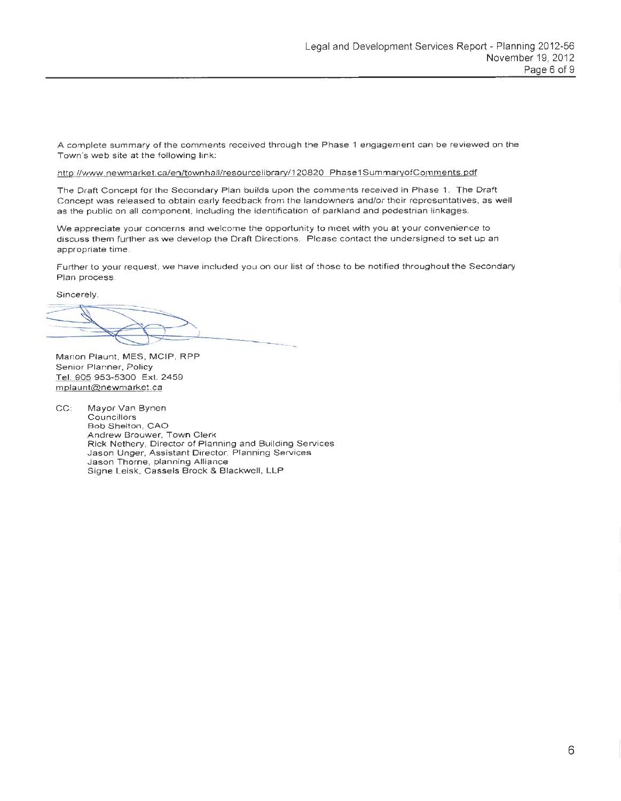A complete summary of the comments received through the Phase 1 engagement can be reviewed on the Town 's web site at the following link:

#### http://www.newmarket.ca/en/townhall/resourcelibrary/120820 Phase1SummaryofComments.pdf

The Draft Concept for the Secondary Plan builds upon the comments received in Phase 1. The Draft Concept was released to obtain early feedback from the landowners and/or their representatives , as well as the public on all component, including the identification of parkland and pedestrian linkages.

We appreciate your concerns and welcome the opportunity to meet with you at your convenience to discuss them further as we develop the Draft Directions. Please contact the undersigned to set up an appropriate time.

Further to your request. we have included you on our list of those to be notified throughout the Secondary Plan process.

Sincerely,

Marion Plaunt, MES, MCIP, RPP Senior Planner, Policy Tel 905 953-5300 Ext. 2459 mplaunt@newmarket.ca

CC: Mayor Van Bynen **Councillors** Bob Shelton, CAO Andrew Brouwer, Town Clerk Rick Nethery, Director of Planning and Building Services Jason Unger, Assistant Director, Planning Services Jason Thorne, planning Alliance Signe Leisk, Cassels Brock & Blackwell, LLP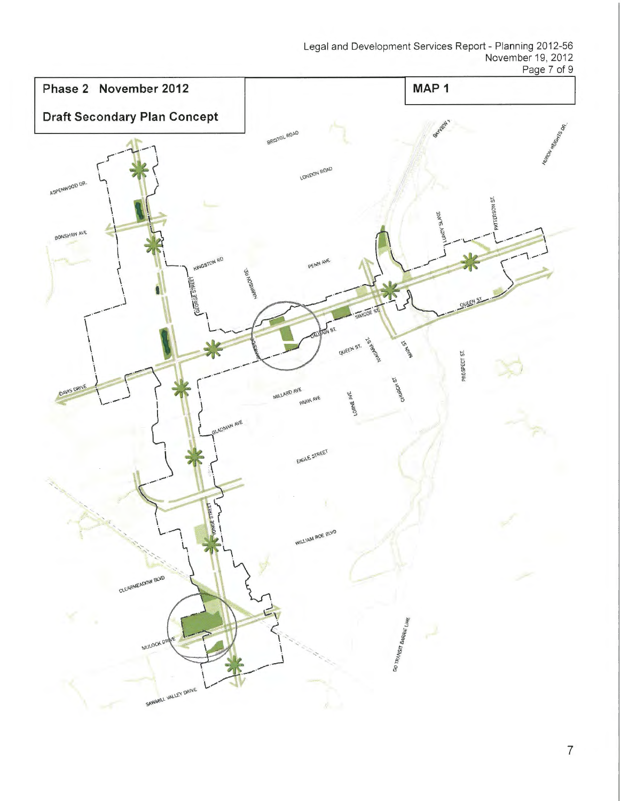Legal and Development Services Report - Planning 2012-56 November 19, 2012 Page 7 of 9



7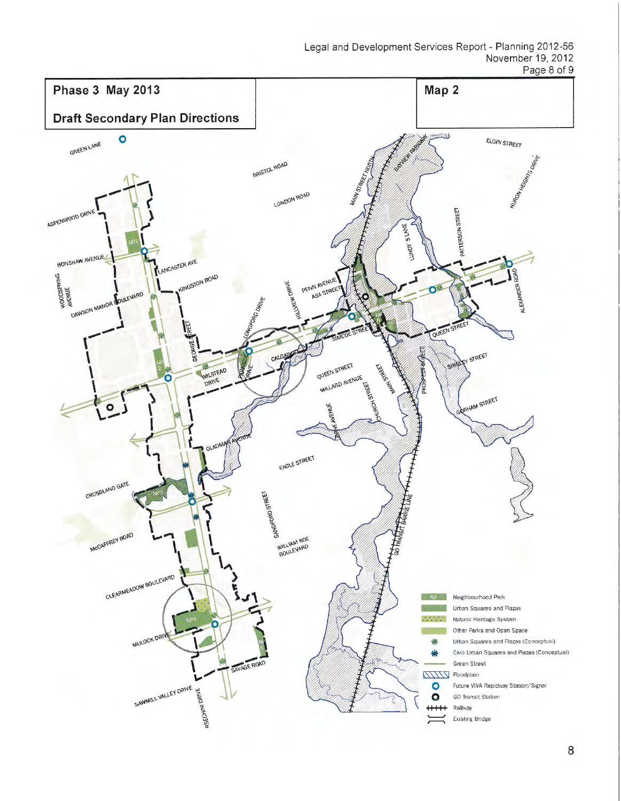